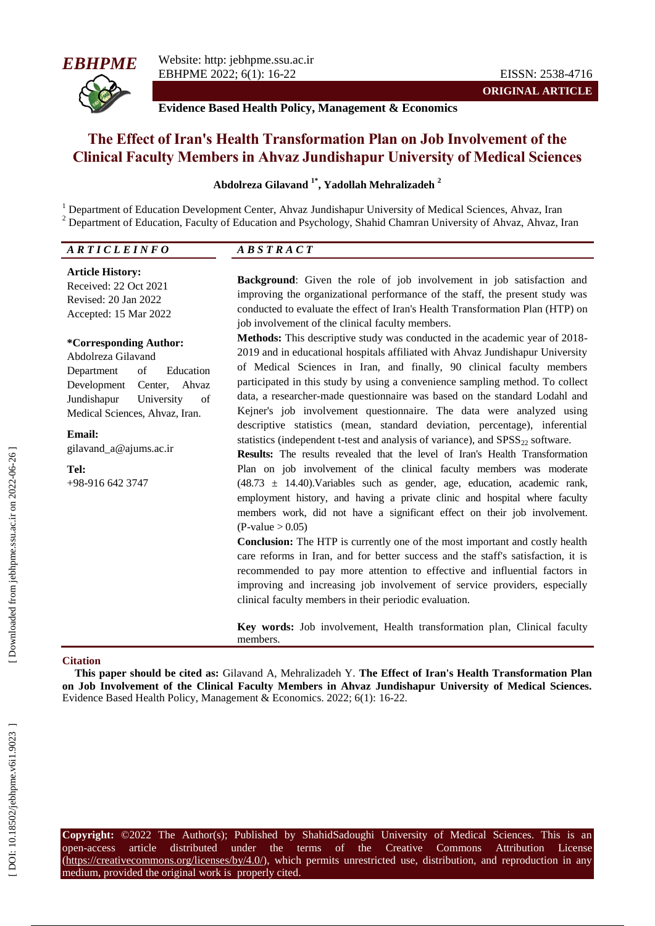

**ORIGINAL ARTICLE**

**Evidence Based Health Policy, Management & Economics**

# **The Effect of Iran's Health Transformation Plan on Job Involvement of the Clinical Faculty Members in Ahvaz Jundishapur University of Medical Sciences**

#### **Abdolreza Gilavand 1 \* , Yadollah Mehralizadeh 2**

<sup>1</sup> Department of Education Development Center, Ahvaz Jundishapur University of Medical Sciences, Ahvaz, Iran  $^{2}$  Department of Education, Faculty of Education and Psychology, Shahid Chamran University of Ahvaz, Ahvaz,

| <b>ARTICLEINFO</b>                                                                                                                                                                                                            | <b>ABSTRACT</b>                                                                                                                                                                                                                                                                                                                                                                                                                                                                                                                                                                                                                                                                                                                                  |
|-------------------------------------------------------------------------------------------------------------------------------------------------------------------------------------------------------------------------------|--------------------------------------------------------------------------------------------------------------------------------------------------------------------------------------------------------------------------------------------------------------------------------------------------------------------------------------------------------------------------------------------------------------------------------------------------------------------------------------------------------------------------------------------------------------------------------------------------------------------------------------------------------------------------------------------------------------------------------------------------|
| <b>Article History:</b><br>Received: 22 Oct 2021<br>Revised: 20 Jan 2022<br>Accepted: 15 Mar 2022                                                                                                                             | <b>Background:</b> Given the role of job involvement in job satisfaction and<br>improving the organizational performance of the staff, the present study was<br>conducted to evaluate the effect of Iran's Health Transformation Plan (HTP) on<br>job involvement of the clinical faculty members.                                                                                                                                                                                                                                                                                                                                                                                                                                               |
| *Corresponding Author:<br>Abdolreza Gilavand<br>Department<br>of<br>Education<br>Development<br>Center, Ahvaz<br>of<br>Jundishapur<br>University<br>Medical Sciences, Ahvaz, Iran.<br><b>Email:</b><br>gilavand_a@ajums.ac.ir | <b>Methods:</b> This descriptive study was conducted in the academic year of 2018-<br>2019 and in educational hospitals affiliated with Ahvaz Jundishapur University<br>of Medical Sciences in Iran, and finally, 90 clinical faculty members<br>participated in this study by using a convenience sampling method. To collect<br>data, a researcher-made questionnaire was based on the standard Lodahl and<br>Kejner's job involvement questionnaire. The data were analyzed using<br>descriptive statistics (mean, standard deviation, percentage), inferential<br>statistics (independent t-test and analysis of variance), and $SPSS_{22}$ software.<br><b>Results:</b> The results revealed that the level of Iran's Health Transformation |
| Tel:<br>$+98-9166423747$                                                                                                                                                                                                      | Plan on job involvement of the clinical faculty members was moderate<br>$(48.73 \pm 14.40)$ . Variables such as gender, age, education, academic rank,<br>employment history, and having a private clinic and hospital where faculty<br>members work, did not have a significant effect on their job involvement.<br>$(P-value > 0.05)$<br><b>Conclusion:</b> The HTP is currently one of the most important and costly health<br>care reforms in Iran, and for better success and the staff's satisfaction, it is<br>recommended to pay more attention to effective and influential factors in<br>improving and increasing job involvement of service providers, especially<br>clinical faculty members in their periodic evaluation.           |

**Key words:** Job involvement, Health transformation plan, Clinical faculty members.

#### **Citation**

**This paper should be cited as:** Gilavand A, Mehralizadeh Y. **The Effect of Iran's Health Transformation Plan on Job Involvement of the Clinical Faculty Members in Ahvaz Jundishapur University of Medical Sciences.** Evidence Based Health Policy, Management & Economics. 2022; 6(1): 16-22.

**Copyright:** ©2022 The Author(s); Published by ShahidSadoughi University of Medical Sciences. This is an open-access article distributed under the terms of the Creative Commons Attribution License (https://creativecommons.org/licenses/by/4.0/), which permits unrestricted use, distribution, and reproduction in any medium, provided the original work is properly cited.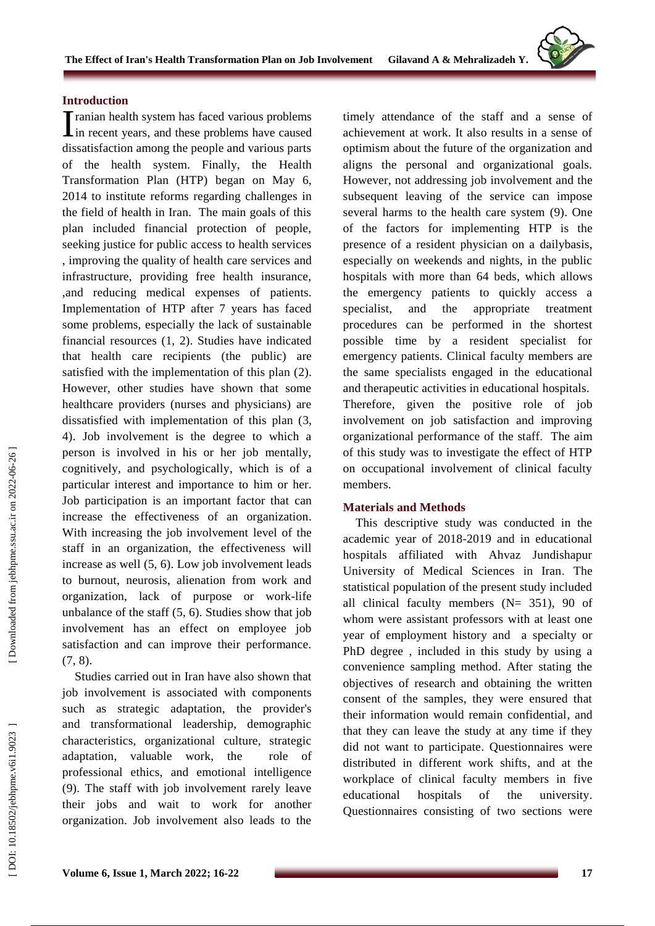**Volume 6 , Issue 1 , March 2022 ; 16**

DOI: 10.18502/jebhpne.v6i1.9023

#### **Introduction**

ranian health system has faced various problems I ranian health system has faced various problems<br>in recent years, and these problems have caused dissatisfaction among the people and various parts of the health system. Finally, the Health Transformation Plan (HTP) began on May 6, 2014 to institute reform s regarding challenges in the field of health in Iran. The main goals of this plan included financial protection of people, seeking justice for public access to health services , improving the quality of health care services and infrastructure, providing free health insurance, ,and reducing medical expenses of patients. Implementation of HTP after 7 years has faced some problems, especially the lack of sustainable financial resources ( 1, 2). Studies have indicated that health care recipients (the public) are satisfied with the implementation of this plan ( 2). However, other studies have shown that some healthcare providers (nurses and physicians) are dissatisfied with implementation of this plan ( 3, 4). Job involvement is the degree to which a person is involved in his or her job mentally, cognitively, and psychologically , which is of a particular interest and importance to him or her. Job participation is an important factor that can increase the effectiveness of an organization. With increasing the job involvement level of the staff in an organization, the effectiveness will increase as well ( 5, 6). Low job involvement leads to burnout, neurosis, alienation from work and organization, lack of purpose or work -life unbalance of the staff ( 5, 6). Studies show that job involvement has an effect on employee job satisfaction and can improve their performance. (7, 8).

Studies carried out in Iran have also shown that job involvement is associated with components such as strategic adaptation, the provider's and transformational leadership, demographic characteristics, organizational culture, strategic adaptation, valuable work, the role of professional ethics , and emotional intelligence ( 9). The staff with job involvement rarely leave their jobs and wait to work for another organization. Job involvement also leads to the

timely attendance of the staff and a sense of achievement at work. It also results in a sense of optimism about the future of the organization and aligns the personal and organizational goals. However, not addressing job involvement and the subsequent leaving of the service can impose several harms to the health care system ( 9 ). One of the factors for implementing HTP is the presence of a resident physician on a dailybasis, especially on weekends and nights, in the public hospitals with more than 64 beds, which allows the emergency patients to quickly access a specialist, and the appropriate treatment procedures can be performed in the shortest possible time by a resident specialist for emergency patients. Clinical faculty members are the same specialist s engaged in the educational and therapeutic activities in educational hospitals. Therefore, given the positive role of job involvement on job satisfaction and improving organizational performance of the staff . The aim of this study was to investigate the effect of HTP on occupational involvement of clinical faculty members.

#### **Materials and Methods**

This descriptive study was conducted in the academic year of 2018 -2019 and in educational hospitals affiliated with Ahvaz Jundishapur University of Medical Sciences in Iran . The statistical population of the present study included all clinical faculty members  $(N= 351)$ , 90 of whom were assistant professors with at least one year of employment history and a specialty or PhD degree , included in this study by using a convenience sampling method. After stating the objectives of research and obtaining the written consent of the samples, they were ensured that their information would remain confidential , and that they can leave the study at any time if they did not want to participate. Questionnaires were distributed in different work shifts , and at the workplace of clinical faculty members in five educational hospitals of the university. Questionnaire s consisting of two sections were

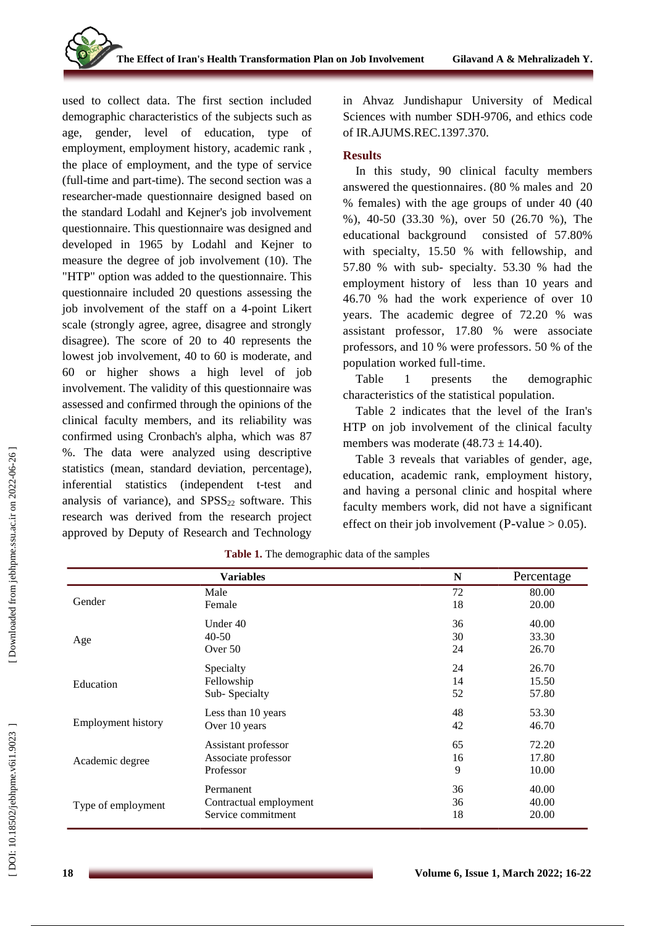used to collect data. The first section included demographic characteristics of the subjects such as age, gender, level of education, type of employment, employment history, academic rank , the place of employment, and the type of service (full -time and part -time). The second section was a researcher -made questionnaire designed based on the standard Lodahl and Kejner's job involvement questionnaire. This questionnaire was designed and developed in 1965 by Lodahl and Kejner to measure the degree of job involvement (10). The "HTP" option was added to the questionnaire. This questionnaire included 20 questions assessing the job involvement of the staff on a 4 -point Likert scale (strongly agree, agree, disagree and strongly disagree) . The score of 20 to 40 represents the lowest job involvement, 40 to 60 is moderate, and 60 or higher shows a high level of job involvement. The validity of this questionnaire was assessed and confirmed through the opinions of the clinical faculty members , and its reliability was confirmed using Cronbach's alpha , which was 87 %. The data were analyzed using descriptive statistics (mean, standard deviation, percentage ), inferential statistics (independent t -test and analysis of variance), and  $SPSS<sub>22</sub>$  software. This research was derived from the research project approved by Deputy of Research and Technology

in Ahvaz Jundishapur University of Medical Sciences with number SDH -9706 , and ethics code of IR.AJUMS.REC.1397.370.

### **Results**

In this study, 90 clinical faculty members answered the questionnaires. (80 % males and 20 % females) with the age groups of under 40 (40 %), 40-50 (33.30 %), over 50 (26.70 %), The educational background consisted of 57.8 0 % with specialty, 15.5 0 % with fellowship , and 57.8 0 % with sub - specialty . 53.3 0 % had the employment history of less than 10 years and 46.7 0 % had the work experience of over 10 years . The academic degree of 72.2 0 % was assistant professor, 17.8 0 % were associate professor s, and 10 % were professor s . 50 % of the population worked full -time.

Table 1 presents the demographic characteristics of the statistical population.

Table 2 indicates that the level of the Iran's HTP on job involvement of the clinical faculty members was moderate  $(48.73 \pm 14.40)$ .

Table 3 reveals that variables of gender, age, education, academic rank, employment history, and having a personal clinic and hospital where faculty members work, did not have a significant effect on their job involvement (P-value  $> 0.05$ ).

|                           | <b>Variables</b>       | N  | Percentage |
|---------------------------|------------------------|----|------------|
|                           | Male                   | 72 | 80.00      |
| Gender                    | Female                 | 18 | 20.00      |
|                           | Under $40$             | 36 | 40.00      |
| Age                       | $40 - 50$              | 30 | 33.30      |
|                           | Over 50                | 24 | 26.70      |
|                           | Specialty              | 24 | 26.70      |
| Education                 | Fellowship             | 14 | 15.50      |
|                           | Sub-Specialty          | 52 | 57.80      |
| <b>Employment history</b> | Less than 10 years     | 48 | 53.30      |
|                           | Over 10 years          | 42 | 46.70      |
|                           | Assistant professor    | 65 | 72.20      |
| Academic degree           | Associate professor    | 16 | 17.80      |
|                           | Professor              | 9  | 10.00      |
| Type of employment        | Permanent              | 36 | 40.00      |
|                           | Contractual employment | 36 | 40.00      |
|                           | Service commitment     | 18 | 20.00      |

**Table 1.** The demographic data of the samples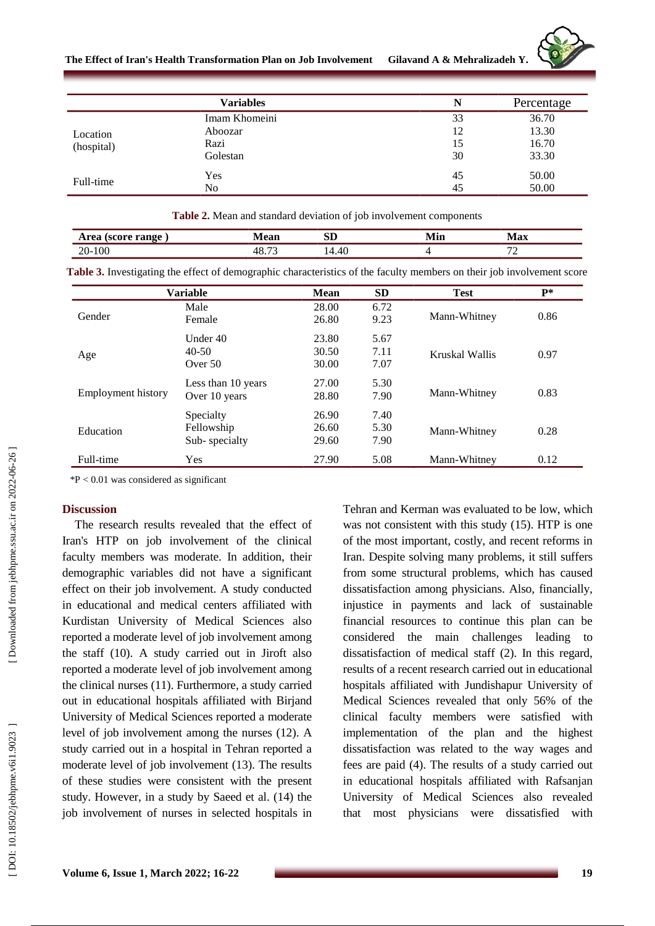

**The Effect of Iran's Health Transformation Plan on Job Involvement** Gilavand A & Mehralizadeh Y.

|                        | <b>Variables</b> | N  | Percentage |
|------------------------|------------------|----|------------|
| Location<br>(hospital) | Imam Khomeini    | 33 | 36.70      |
|                        | Aboozar          | 12 | 13.30      |
|                        | Razi             | 15 | 16.70      |
|                        | Golestan         | 30 | 33.30      |
| Full-time              | Yes              | 45 | 50.00      |
|                        | N <sub>o</sub>   | 45 | 50.00      |

| $\cdots$    | .     |  | $\sim$                                                           |
|-------------|-------|--|------------------------------------------------------------------|
| 71<br>_____ | _____ |  | $\overline{\phantom{a}}$<br>,<br>the contract of the contract of |

**Table 3 .** Investigating the effect of demographic characteristics of the faculty members on their job involvement score

|                    | Variable           | <b>Mean</b> | <b>SD</b> | <b>Test</b>    | $P*$ |
|--------------------|--------------------|-------------|-----------|----------------|------|
|                    | Male               | 28.00       | 6.72      |                |      |
| Gender             | Female             | 26.80       | 9.23      | Mann-Whitney   | 0.86 |
| Age                | Under 40           | 23.80       | 5.67      |                |      |
|                    | $40 - 50$          | 30.50       | 7.11      | Kruskal Wallis | 0.97 |
|                    | Over $50$          | 30.00       | 7.07      |                |      |
| Employment history | Less than 10 years | 27.00       | 5.30      | Mann-Whitney   | 0.83 |
|                    | Over 10 years      | 28.80       | 7.90      |                |      |
|                    | Specialty          | 26.90       | 7.40      |                |      |
| Education          | Fellowship         | 26.60       | 5.30      | Mann-Whitney   | 0.28 |
|                    | Sub-specialty      | 29.60       | 7.90      |                |      |
| Full-time          | <b>Yes</b>         | 27.90       | 5.08      | Mann-Whitney   | 0.12 |

 $*P < 0.01$  was considered as significant

#### **Discussion**

The research results revealed that the effect of Iran's HTP on job involvement of the clinical faculty members was moderate. In addition, their demographic variables did not have a significant effect on their job involvement. A study conducted in educational and medical centers affiliated with Kurdistan University of Medical Sciences also reported a moderate level of job involvement among the staff (10). A study carried out in Jiroft also reported a moderate level of job involvement among the clinical nurses (1 1). Furthermore, a study carried out in educational hospitals affiliated with Birjand University of Medical Sciences reported a moderate level of job involvement among the nurses (1 2). A study carried out in a hospital in Tehran reported a moderate level of job involvement (1 3). The results of these studies were consistent with the present study. However, in a study by Saeed et al . (14) the job involvement of nurses in selected hospitals in

Tehran and Kerman was evaluated to be low, which was not consistent with this study (15). HTP is one of the most important , costly , and recent reforms in Iran. Despite solving many problems, it still suffers from some structural problems, which has caused dissatisfaction among physicians. Also, financially, injustice in payments and lack of sustainable financial resources to continue this plan can be considered the main challenges leading to dissatisfaction of medical staff (2). In this regard, results of a recent research carried out in educational hospitals affiliated with Jundishapur University of Medical Sciences revealed that only 56% of the clinical faculty members were satisfied with implementation of the plan and the highest dissatisfaction was related to the way wages and fees are paid ( 4). The results of a study carried out in educational hospitals affiliated with Rafsanjan University of Medical Sciences also revealed that most physicians were dissatisfied with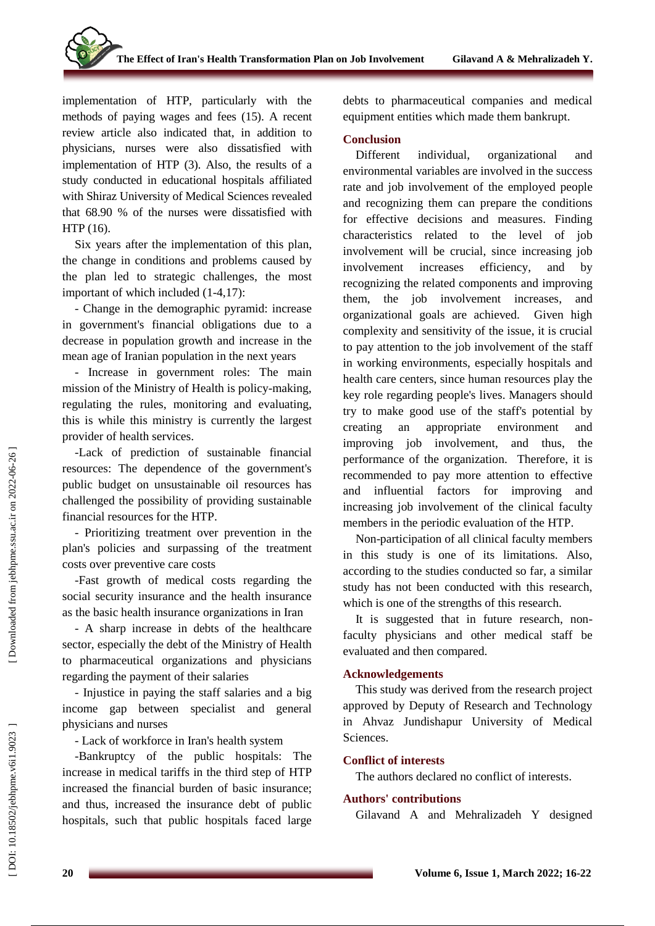implementation of HTP, particularly with the methods of paying wages and fees (1 5). A recent review article also indicated that , in addition to physicians, nurses were also dissatisfied with implementation of HTP ( 3). Also, the results of a study conducted in educational hospitals affiliated with Shiraz University of Medical Sciences revealed that 68.90 % of the nurses were dissatisfied with HTP (1 6).

Six years after the implementation of this plan, the change in conditions and problems caused by the plan led to strategic challenges, the most important of which include d (1 -4,17) :

- Change in the demographic pyramid: increase in government's financial obligations due to a decrease in population growth and increase in the mean age of Iranian population in the next years

- Increase in government roles: The main mission of the Ministry of Health is policy -making, regulating the rules, monitoring and evaluating, this is while this ministry is currently the largest provider of health services.

-Lack of prediction of sustainable financial resources: The dependence of the government's public budget on unsustainable oil resources has challenged the possibility of providing sustainable financial resources for the HTP .

- Prioritizing treatment over prevention in the plan's policies and surpassing of the treatment costs over preventive care costs

-Fast growth of medical costs regarding the social security insurance and the health insurance as the basic health insurance organizations in Iran

- A sharp increase in debts of the healthcare sector, especially the debt of the Ministry of Health to pharmaceutical organizations and physicians regarding the payment of their salaries<br>- Injustice in paying the staff salaries and a big

income gap between specialist and general physicians and nurses

- Lack of workforce in Iran's health system

-Bankruptcy of the public hospitals: The increase in medical tariffs in the third step of HTP increased the financial burden of basic insurance; and thus , increased the insurance debt of public hospitals, such that public hospitals face d large debts to pharmaceutical companies and medical equipment entities which made them bankrupt.

#### **Conclusion**

Different individual, organizational and environmental variables are involved in the success rate and job involvement of the employed people and recognizing them can prepare the conditions for effective decisions and measures. Finding characteristics related to the level of job involvement will be crucial, since increasing job involvement increases efficiency, , and by recognizing the related components and improving them, the job involvement increases , and organizational goals are achieved. Given high complexity and sensitivity of the issue, it is crucial to pay attention to the job involvement of the staff in working environments, especially hospitals and health care centers, since human resources play the key role regarding people's lives. Managers should try to make good use of the staff's potential by creating an appropriate environment and improving job involvement, and thus, the performance of the organization. Therefore, it is recommended to pay more attention to effective and influential factors for improving and increasing job involvement of the clinical faculty members in the periodic evaluation of the HTP .

Non -participation of all clinical faculty members in this study is one of its limitations. Also, according to the studies conducted so far, a similar study has not been conducted with this research, which is one of the strengths of this research.

It is suggested that in future research, nonfaculty physicians and other medical staff be evaluated and then compared.

## **Acknowledgements**

This study was derived from the research project approved by Deputy of Research and Technology in Ahvaz Jundishapur University of Medical Sciences .

## **Conflict of interest s**

The authors declared no conflict of interest s .

## **Authors' contributions**

Gilavand A and Mehralizadeh Y designed

Downloaded from jebhpme.ssu.ac.ir on 2022-06-26]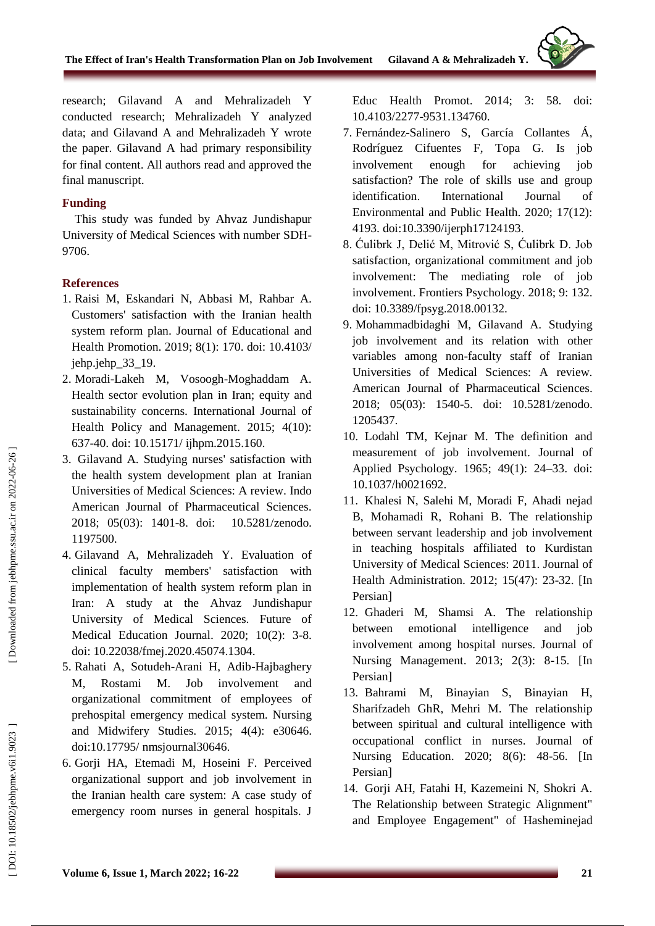research; Gilavand A and Mehralizadeh Y conducted research; Mehralizadeh Y analyzed data; and Gilavand A and Mehralizadeh Y wrote the paper. Gilavand A had primary responsibility for final content. All authors read and approved the final manuscript.

### **Funding**

This study was funded by Ahvaz Jundishapur University of Medical Sciences with number SDH - 9706 .

#### **References**

- 1. Raisi M, Eskandari N, Abbasi M, Rahbar A. Customers' satisfaction with the Iranian health system reform plan. Journal of Educational and Health Promotion. 2019; 8(1): 170. doi: 10.4103/ jehp.jehp\_33\_19.
- 2 . Moradi -Lakeh M, Vosoogh -Moghaddam A. Health sector evolution plan in Iran; equity and sustainability concerns. International Journal of Health Policy and Management. 2015; 4(10): 637 -40. doi: 10.15171/ ijhpm.2015.160.
- 3 . Gilavand A. Studying nurses' satisfaction with the health system development plan at Iranian Universities of Medical Sciences: A review. Indo American Journal of Pharmaceutical Sciences. 2018; 05(03): 1401-8. doi: 10.5281/zenodo. 1197500.
- 4 . Gilavand A, Mehralizadeh Y. Evaluation of clinical faculty members' satisfaction with implementation of health system reform plan in Iran: A study at the Ahvaz Jundishapur University of Medical Sciences. Future of Medical Education Journal. 2020; 10(2): 3 -8. doi: 10.22038/fmej.2020.45074.1304 .
- 5 . Rahati A, Sotudeh -Arani H, Adib -Hajbaghery M, Rostami M. Job involvement and organizational commitment of employees of prehospital emergency medical system. Nursing and Midwifery Studies. 2015; 4(4): e30646. doi:10.17795/ nmsjournal30646 .
- 6 . Gorji HA, Etemadi M, Hoseini F. Perceived organizational support and job involvement in the Iranian health care system: A case study of emergency room nurses in general hospitals. J

Educ Health Promot. 2014; 3: 58. doi: 10.4103/2277 -9531.134760.

- 7 . Fernández -Salinero S, García Collantes Á, Rodríguez Cifuentes F, Topa G. Is job involvement enough for achieving job satisfaction? The role of skills use and group identification. International Journal of Environmental and Public Health. 2020; 17(12): 4193. doi:10.3390/ijerph17124193.
- 8 . Ćulibrk J, Delić M, Mitrović S, Ćulibrk D. Job satisfaction, organizational commitment and job involvement: The mediating role of job involvement. Frontiers Psychology. 2018; 9: 132. doi: 10.3389/fpsyg.2018.00132.
- 9 . Mohammadbidaghi M, Gilavand A. Studying job involvement and its relation with other variables among non -faculty staff of Iranian Universities of Medical Sciences: A review. American Journal of Pharmaceutical Sciences. 2018; 05(03): 1540 -5. doi: [10.5281/zenodo.](http://dx.doi.org/10.5281/zenodo.1205437) [1205437](http://dx.doi.org/10.5281/zenodo.1205437) .
- 10 . Lodahl TM, Kejnar M. The definition and measurement of job involvement. Journal of Applied Psychology. 1965; 49(1): 24 –33. doi: 10.1037/h0021692.
- 11 . Khalesi N, Salehi M, Moradi F, Ahadi nejad B, Mohamadi R, Rohani B. The relationship between servant leadership and job involvement in teaching hospitals affiliated to Kurdistan University of Medical Sciences: 2011. Journal of Health Administration. 2012; 15(47): 23 -32. [In Persian]
- 12 . Ghaderi M, Shamsi A. The relationship between emotional intelligence and job involvement among hospital nurses. Journal of Nursing Management. 2013; 2(3): 8 -15 . [In Persian]
- 13 . Bahrami M, Binayian S, Binayian H, Sharifzadeh GhR, Mehri M. The relationship between spiritual and cultural intelligence with occupational conflict in nurses. Journal of Nursing Education. 2020; 8(6): 48 -56. [In Persian]
- 14 . Gorji AH, Fatahi H, Kazemeini N, Shokri A. The Relationship between Strategic Alignment" and Employee Engagement" of Hasheminejad

DOI: 10.18502/jebhpme.v6i1.9023